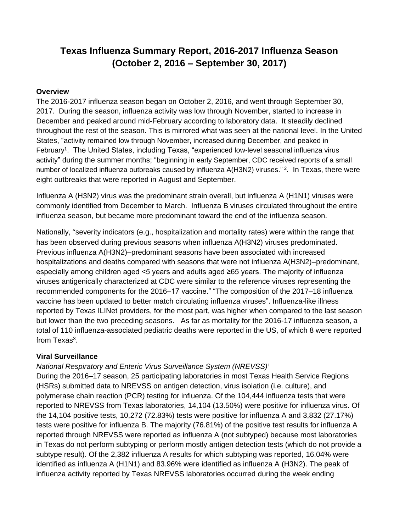# **Texas Influenza Summary Report, 2016-2017 Influenza Season (October 2, 2016 – September 30, 2017)**

# **Overview**

The 2016-2017 influenza season began on October 2, 2016, and went through September 30, 2017. During the season, influenza activity was low through November, started to increase in December and peaked around mid-February according to laboratory data. It steadily declined throughout the rest of the season. This is mirrored what was seen at the national level. In the United States, "activity remained low through November, increased during December, and peaked in February<sup>1</sup>. The United States, including Texas, "experienced low-level seasonal influenza virus activity" during the summer months; "beginning in early September, CDC received reports of a small number of localized influenza outbreaks caused by influenza A(H3N2) viruses."<sup>2</sup>. In Texas, there were eight outbreaks that were reported in August and September.

Influenza A (H3N2) virus was the predominant strain overall, but influenza A (H1N1) viruses were commonly identified from December to March. Influenza B viruses circulated throughout the entire influenza season, but became more predominant toward the end of the influenza season.

Nationally, "severity indicators (e.g., hospitalization and mortality rates) were within the range that has been observed during previous seasons when influenza A(H3N2) viruses predominated. Previous influenza A(H3N2)–predominant seasons have been associated with increased hospitalizations and deaths compared with seasons that were not influenza A(H3N2)–predominant, especially among children aged <5 years and adults aged ≥65 years. The majority of influenza viruses antigenically characterized at CDC were similar to the reference viruses representing the recommended components for the 2016–17 vaccine." "The composition of the 2017–18 influenza vaccine has been updated to better match circulating influenza viruses". Influenza-like illness reported by Texas ILINet providers, for the most part, was higher when compared to the last season but lower than the two preceding seasons. As far as mortality for the 2016-17 influenza season, a total of 110 influenza-associated pediatric deaths were reported in the US, of which 8 were reported from Texas $^3$ .

# **Viral Surveillance**

# *National Respiratory and Enteric Virus Surveillance System (NREVSS)*<sup>i</sup>

During the 2016–17 season, 25 participating laboratories in most Texas Health Service Regions (HSRs) submitted data to NREVSS on antigen detection, virus isolation (i.e. culture), and polymerase chain reaction (PCR) testing for influenza. Of the 104,444 influenza tests that were reported to NREVSS from Texas laboratories, 14,104 (13.50%) were positive for influenza virus. Of the 14,104 positive tests, 10,272 (72.83%) tests were positive for influenza A and 3,832 (27.17%) tests were positive for influenza B. The majority (76.81%) of the positive test results for influenza A reported through NREVSS were reported as influenza A (not subtyped) because most laboratories in Texas do not perform subtyping or perform mostly antigen detection tests (which do not provide a subtype result). Of the 2,382 influenza A results for which subtyping was reported, 16.04% were identified as influenza A (H1N1) and 83.96% were identified as influenza A (H3N2). The peak of influenza activity reported by Texas NREVSS laboratories occurred during the week ending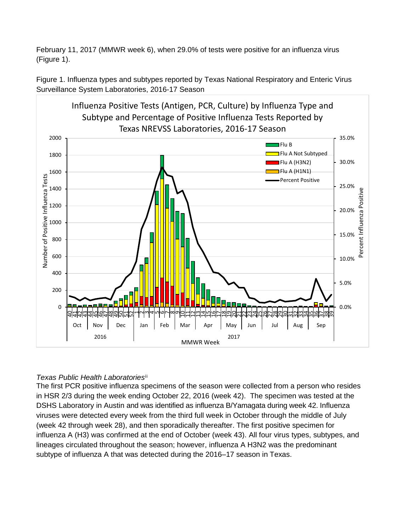February 11, 2017 (MMWR week 6), when 29.0% of tests were positive for an influenza virus (Figure 1).



Figure 1. Influenza types and subtypes reported by Texas National Respiratory and Enteric Virus Surveillance System Laboratories, 2016-17 Season

# *Texas Public Health Laboratories* ii

The first PCR positive influenza specimens of the season were collected from a person who resides in HSR 2/3 during the week ending October 22, 2016 (week 42). The specimen was tested at the DSHS Laboratory in Austin and was identified as influenza B/Yamagata during week 42. Influenza viruses were detected every week from the third full week in October through the middle of July (week 42 through week 28), and then sporadically thereafter. The first positive specimen for influenza A (H3) was confirmed at the end of October (week 43). All four virus types, subtypes, and lineages circulated throughout the season; however, influenza A H3N2 was the predominant subtype of influenza A that was detected during the 2016–17 season in Texas.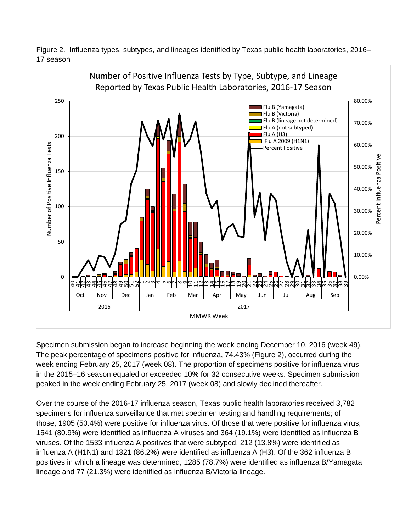



Specimen submission began to increase beginning the week ending December 10, 2016 (week 49). The peak percentage of specimens positive for influenza, 74.43% (Figure 2), occurred during the week ending February 25, 2017 (week 08). The proportion of specimens positive for influenza virus in the 2015–16 season equaled or exceeded 10% for 32 consecutive weeks. Specimen submission peaked in the week ending February 25, 2017 (week 08) and slowly declined thereafter.

Over the course of the 2016-17 influenza season, Texas public health laboratories received 3,782 specimens for influenza surveillance that met specimen testing and handling requirements; of those, 1905 (50.4%) were positive for influenza virus. Of those that were positive for influenza virus, 1541 (80.9%) were identified as influenza A viruses and 364 (19.1%) were identified as influenza B viruses. Of the 1533 influenza A positives that were subtyped, 212 (13.8%) were identified as influenza A (H1N1) and 1321 (86.2%) were identified as influenza A (H3). Of the 362 influenza B positives in which a lineage was determined, 1285 (78.7%) were identified as influenza B/Yamagata lineage and 77 (21.3%) were identified as influenza B/Victoria lineage.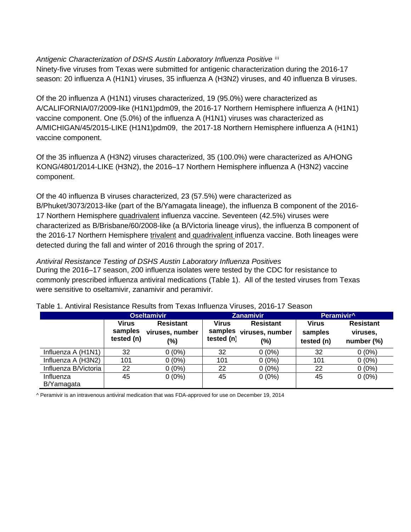*Antigenic Characterization of DSHS Austin Laboratory Influenza Positive* iii

Ninety-five viruses from Texas were submitted for antigenic characterization during the 2016-17 season: 20 influenza A (H1N1) viruses, 35 influenza A (H3N2) viruses, and 40 influenza B viruses.

Of the 20 influenza A (H1N1) viruses characterized, 19 (95.0%) were characterized as A/CALIFORNIA/07/2009-like (H1N1)pdm09, the 2016-17 Northern Hemisphere influenza A (H1N1) vaccine component. One (5.0%) of the influenza A (H1N1) viruses was characterized as A/MICHIGAN/45/2015-LIKE (H1N1)pdm09, the 2017-18 Northern Hemisphere influenza A (H1N1) vaccine component.

Of the 35 influenza A (H3N2) viruses characterized, 35 (100.0%) were characterized as A/HONG KONG/4801/2014-LIKE (H3N2), the 2016–17 Northern Hemisphere influenza A (H3N2) vaccine component.

Of the 40 influenza B viruses characterized, 23 (57.5%) were characterized as B/Phuket/3073/2013-like (part of the B/Yamagata lineage), the influenza B component of the 2016- 17 Northern Hemisphere quadrivalent influenza vaccine. Seventeen (42.5%) viruses were characterized as B/Brisbane/60/2008-like (a B/Victoria lineage virus), the influenza B component of the 2016-17 Northern Hemisphere trivalent and quadrivalent influenza vaccine. Both lineages were detected during the fall and winter of 2016 through the spring of 2017.

*Antiviral Resistance Testing of DSHS Austin Laboratory Influenza Positives*

During the 2016–17 season, 200 influenza isolates were tested by the CDC for resistance to commonly prescribed influenza antiviral medications (Table 1). All of the tested viruses from Texas were sensitive to oseltamivir, zanamivir and peramivir.

|                         | <b>Oseltamivir</b>                    |                                            | <b>Zanamivir</b>                      |                                               | Peramivir <sup>^</sup>         |                                            |
|-------------------------|---------------------------------------|--------------------------------------------|---------------------------------------|-----------------------------------------------|--------------------------------|--------------------------------------------|
|                         | <b>Virus</b><br>samples<br>tested (n) | <b>Resistant</b><br>viruses, number<br>(%) | <b>Virus</b><br>samples<br>tested (n) | <b>Resistant</b><br>viruses, number<br>$(\%)$ | Virus<br>samples<br>tested (n) | <b>Resistant</b><br>viruses,<br>number (%) |
| Influenza A (H1N1)      | 32                                    | $0(0\%)$                                   | 32                                    | $0(0\%)$                                      | 32                             | $0(0\%)$                                   |
| Influenza A (H3N2)      | 101                                   | $0(0\%)$                                   | 101                                   | $0(0\%)$                                      | 101                            | $0(0\%)$                                   |
| Influenza B/Victoria    | 22                                    | $0(0\%)$                                   | 22                                    | $0(0\%)$                                      | 22                             | $0(0\%)$                                   |
| Influenza<br>B/Yamagata | 45                                    | $0(0\%)$                                   | 45                                    | $0(0\%)$                                      | 45                             | $0(0\%)$                                   |

Table 1. Antiviral Resistance Results from Texas Influenza Viruses, 2016-17 Season

^ Peramivir is an intravenous antiviral medication that was FDA-approved for use on December 19, 2014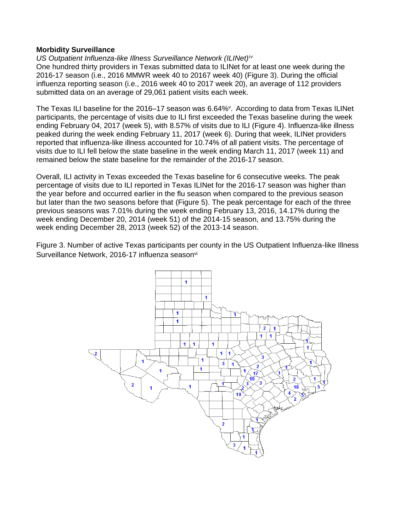#### **Morbidity Surveillance**

# *US Outpatient Influenza-like Illness Surveillance Network (ILINet)* iv

One hundred thirty providers in Texas submitted data to ILINet for at least one week during the 2016-17 season (i.e., 2016 MMWR week 40 to 20167 week 40) (Figure 3). During the official influenza reporting season (i.e., 2016 week 40 to 2017 week 20), an average of 112 providers submitted data on an average of 29,061 patient visits each week.

The Texas ILI baseline for the 2016–17 season was 6.64%<sup>v</sup>. According to data from Texas ILINet participants, the percentage of visits due to ILI first exceeded the Texas baseline during the week ending February 04, 2017 (week 5), with 8.57% of visits due to ILI (Figure 4). Influenza-like illness peaked during the week ending February 11, 2017 (week 6). During that week, ILINet providers reported that influenza-like illness accounted for 10.74% of all patient visits. The percentage of visits due to ILI fell below the state baseline in the week ending March 11, 2017 (week 11) and remained below the state baseline for the remainder of the 2016-17 season.

Overall, ILI activity in Texas exceeded the Texas baseline for 6 consecutive weeks. The peak percentage of visits due to ILI reported in Texas ILINet for the 2016-17 season was higher than the year before and occurred earlier in the flu season when compared to the previous season but later than the two seasons before that (Figure 5). The peak percentage for each of the three previous seasons was 7.01% during the week ending February 13, 2016, 14.17% during the week ending December 20, 2014 (week 51) of the 2014-15 season, and 13.75% during the week ending December 28, 2013 (week 52) of the 2013-14 season.

Figure 3. Number of active Texas participants per county in the US Outpatient Influenza-like Illness Surveillance Network, 2016-17 influenza seasonvi

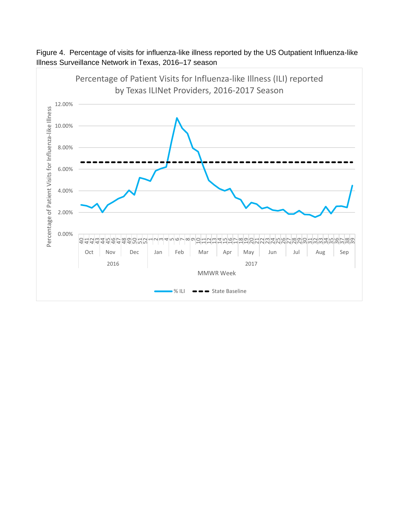

Figure 4. Percentage of visits for influenza-like illness reported by the US Outpatient Influenza-like Illness Surveillance Network in Texas, 2016–17 season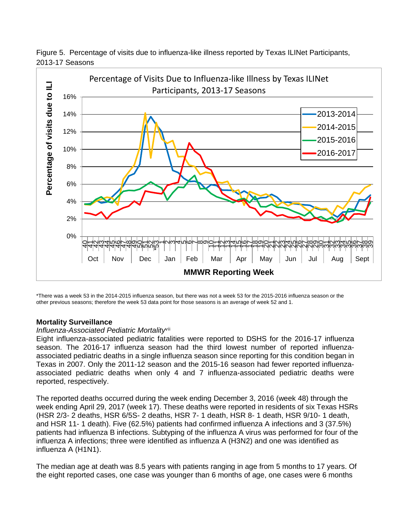

Figure 5. Percentage of visits due to influenza-like illness reported by Texas ILINet Participants, 2013-17 Seasons

\*There was a week 53 in the 2014-2015 influenza season, but there was not a week 53 for the 2015-2016 influenza season or the other previous seasons; therefore the week 53 data point for those seasons is an average of week 52 and 1.

#### **Mortality Surveillance**

#### Influenza-Associated Pediatric Mortality<sup>vii</sup>

Eight influenza-associated pediatric fatalities were reported to DSHS for the 2016-17 influenza season. The 2016-17 influenza season had the third lowest number of reported influenzaassociated pediatric deaths in a single influenza season since reporting for this condition began in Texas in 2007. Only the 2011-12 season and the 2015-16 season had fewer reported influenzaassociated pediatric deaths when only 4 and 7 influenza-associated pediatric deaths were reported, respectively.

The reported deaths occurred during the week ending December 3, 2016 (week 48) through the week ending April 29, 2017 (week 17). These deaths were reported in residents of six Texas HSRs (HSR 2/3- 2 deaths, HSR 6/5S- 2 deaths, HSR 7- 1 death, HSR 8- 1 death, HSR 9/10- 1 death, and HSR 11- 1 death). Five (62.5%) patients had confirmed influenza A infections and 3 (37.5%) patients had influenza B infections. Subtyping of the influenza A virus was performed for four of the influenza A infections; three were identified as influenza A (H3N2) and one was identified as influenza A (H1N1).

The median age at death was 8.5 years with patients ranging in age from 5 months to 17 years. Of the eight reported cases, one case was younger than 6 months of age, one cases were 6 months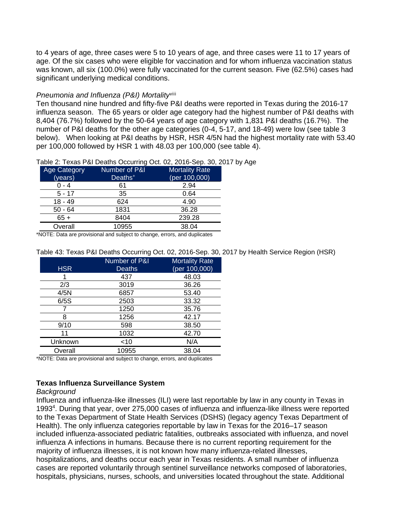to 4 years of age, three cases were 5 to 10 years of age, and three cases were 11 to 17 years of age. Of the six cases who were eligible for vaccination and for whom influenza vaccination status was known, all six (100.0%) were fully vaccinated for the current season. Five (62.5%) cases had significant underlying medical conditions.

#### Pneumonia and Influenza (P&I) Mortality<sup>viii</sup>

Ten thousand nine hundred and fifty-five P&I deaths were reported in Texas during the 2016-17 influenza season. The 65 years or older age category had the highest number of P&I deaths with 8,404 (76.7%) followed by the 50-64 years of age category with 1,831 P&I deaths (16.7%). The number of P&I deaths for the other age categories (0-4, 5-17, and 18-49) were low (see table 3 below). When looking at P&I deaths by HSR, HSR 4/5N had the highest mortality rate with 53.40 per 100,000 followed by HSR 1 with 48.03 per 100,000 (see table 4).

| Table 2: Texas P&I Deaths Occurring Oct. 02, 2016-Sep. 30, 2017 by Age |  |  |  |
|------------------------------------------------------------------------|--|--|--|
|                                                                        |  |  |  |
|                                                                        |  |  |  |
|                                                                        |  |  |  |

| Age Category | Number of P&I       | <b>Mortality Rate</b> |
|--------------|---------------------|-----------------------|
| (years)      | Deaths <sup>+</sup> | (per $100,000$ )      |
| $0 - 4$      | 61                  | 2.94                  |
| $5 - 17$     | 35                  | 0.64                  |
| $18 - 49$    | 624                 | 4.90                  |
| $50 - 64$    | 1831                | 36.28                 |
| $65+$        | 8404                | 239.28                |
| Overall      | 10955               | 38.04                 |

\*NOTE: Data are provisional and subject to change, errors, and duplicates

#### Table 43: Texas P&I Deaths Occurring Oct. 02, 2016-Sep. 30, 2017 by Health Service Region (HSR)

|            | Number of P&I | <b>Mortality Rate</b> |
|------------|---------------|-----------------------|
| <b>HSR</b> | <b>Deaths</b> | (per 100,000)         |
|            | 437           | 48.03                 |
| 2/3        | 3019          | 36.26                 |
| 4/5N       | 6857          | 53.40                 |
| 6/5S       | 2503          | 33.32                 |
|            | 1250          | 35.76                 |
| 8          | 1256          | 42.17                 |
| 9/10       | 598           | 38.50                 |
| 11         | 1032          | 42.70                 |
| Unknown    | $<$ 10        | N/A                   |
| Overall    | 10955         | 38.04                 |
|            |               |                       |

\*NOTE: Data are provisional and subject to change, errors, and duplicates

# **Texas Influenza Surveillance System**

#### *Background*

Influenza and influenza-like illnesses (ILI) were last reportable by law in any county in Texas in 1993 4 . During that year, over 275,000 cases of influenza and influenza-like illness were reported to the Texas Department of State Health Services (DSHS) (legacy agency Texas Department of Health). The only influenza categories reportable by law in Texas for the 2016–17 season included influenza-associated pediatric fatalities, outbreaks associated with influenza, and novel influenza A infections in humans. Because there is no current reporting requirement for the majority of influenza illnesses, it is not known how many influenza-related illnesses, hospitalizations, and deaths occur each year in Texas residents. A small number of influenza cases are reported voluntarily through sentinel surveillance networks composed of laboratories, hospitals, physicians, nurses, schools, and universities located throughout the state. Additional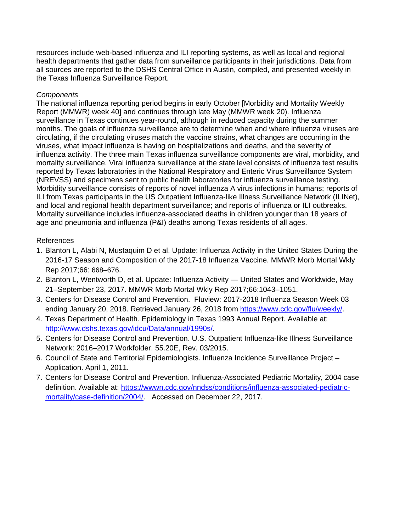resources include web-based influenza and ILI reporting systems, as well as local and regional health departments that gather data from surveillance participants in their jurisdictions. Data from all sources are reported to the DSHS Central Office in Austin, compiled, and presented weekly in the Texas Influenza Surveillance Report.

# *Components*

The national influenza reporting period begins in early October [Morbidity and Mortality Weekly Report (MMWR) week 40] and continues through late May (MMWR week 20). Influenza surveillance in Texas continues year-round, although in reduced capacity during the summer months. The goals of influenza surveillance are to determine when and where influenza viruses are circulating, if the circulating viruses match the vaccine strains, what changes are occurring in the viruses, what impact influenza is having on hospitalizations and deaths, and the severity of influenza activity. The three main Texas influenza surveillance components are viral, morbidity, and mortality surveillance. Viral influenza surveillance at the state level consists of influenza test results reported by Texas laboratories in the National Respiratory and Enteric Virus Surveillance System (NREVSS) and specimens sent to public health laboratories for influenza surveillance testing. Morbidity surveillance consists of reports of novel influenza A virus infections in humans; reports of ILI from Texas participants in the US Outpatient Influenza-like Illness Surveillance Network (ILINet), and local and regional health department surveillance; and reports of influenza or ILI outbreaks. Mortality surveillance includes influenza-associated deaths in children younger than 18 years of age and pneumonia and influenza (P&I) deaths among Texas residents of all ages.

# References

- 1. Blanton L, Alabi N, Mustaquim D et al. Update: Influenza Activity in the United States During the 2016-17 Season and Composition of the 2017-18 Influenza Vaccine. MMWR Morb Mortal Wkly Rep 2017;66: 668–676.
- 2. Blanton L, Wentworth D, et al. Update: Influenza Activity United States and Worldwide, May 21–September 23, 2017. MMWR Morb Mortal Wkly Rep 2017;66:1043–1051.
- 3. Centers for Disease Control and Prevention. Fluview: 2017-2018 Influenza Season Week 03 ending January 20, 2018. Retrieved January 26, 2018 from [https://www.cdc.gov/flu/weekly/.](https://www.cdc.gov/flu/weekly/)
- 4. Texas Department of Health. Epidemiology in Texas 1993 Annual Report. Available at: [http://www.dshs.texas.gov/idcu/Data/annual/1990s/.](http://www.dshs.texas.gov/idcu/Data/annual/1990s/)
- 5. Centers for Disease Control and Prevention. U.S. Outpatient Influenza-like Illness Surveillance Network: 2016–2017 Workfolder. 55.20E, Rev. 03/2015.
- 6. Council of State and Territorial Epidemiologists. Influenza Incidence Surveillance Project Application. April 1, 2011.
- 7. Centers for Disease Control and Prevention. Influenza-Associated Pediatric Mortality, 2004 case definition. Available at: https://wwwn.cdc.gov/nndss/conditions/influenza-associated-pediatricmortality/case-definition/2004/. Accessed on December 22, 2017.